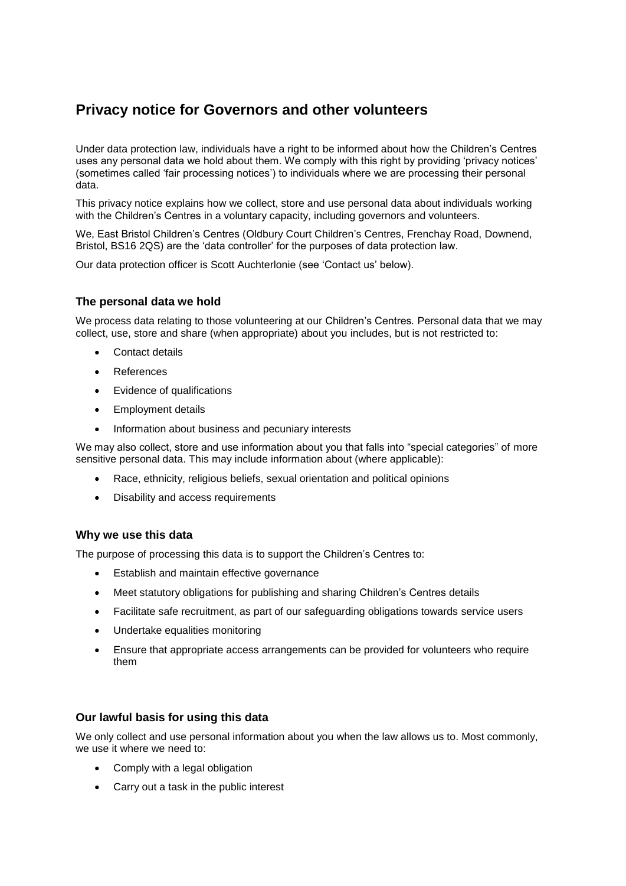# **Privacy notice for Governors and other volunteers**

Under data protection law, individuals have a right to be informed about how the Children's Centres uses any personal data we hold about them. We comply with this right by providing 'privacy notices' (sometimes called 'fair processing notices') to individuals where we are processing their personal data.

This privacy notice explains how we collect, store and use personal data about individuals working with the Children's Centres in a voluntary capacity, including governors and volunteers.

We, East Bristol Children's Centres (Oldbury Court Children's Centres, Frenchay Road, Downend, Bristol, BS16 2QS) are the 'data controller' for the purposes of data protection law.

Our data protection officer is Scott Auchterlonie (see 'Contact us' below).

# **The personal data we hold**

We process data relating to those volunteering at our Children's Centres*.* Personal data that we may collect, use, store and share (when appropriate) about you includes, but is not restricted to:

- Contact details
- References
- Evidence of qualifications
- Employment details
- Information about business and pecuniary interests

We may also collect, store and use information about you that falls into "special categories" of more sensitive personal data. This may include information about (where applicable):

- Race, ethnicity, religious beliefs, sexual orientation and political opinions
- Disability and access requirements

## **Why we use this data**

The purpose of processing this data is to support the Children's Centres to:

- **Establish and maintain effective governance**
- Meet statutory obligations for publishing and sharing Children's Centres details
- Facilitate safe recruitment, as part of our safeguarding obligations towards service users
- Undertake equalities monitoring
- Ensure that appropriate access arrangements can be provided for volunteers who require them

## **Our lawful basis for using this data**

We only collect and use personal information about you when the law allows us to. Most commonly, we use it where we need to:

- Comply with a legal obligation
- Carry out a task in the public interest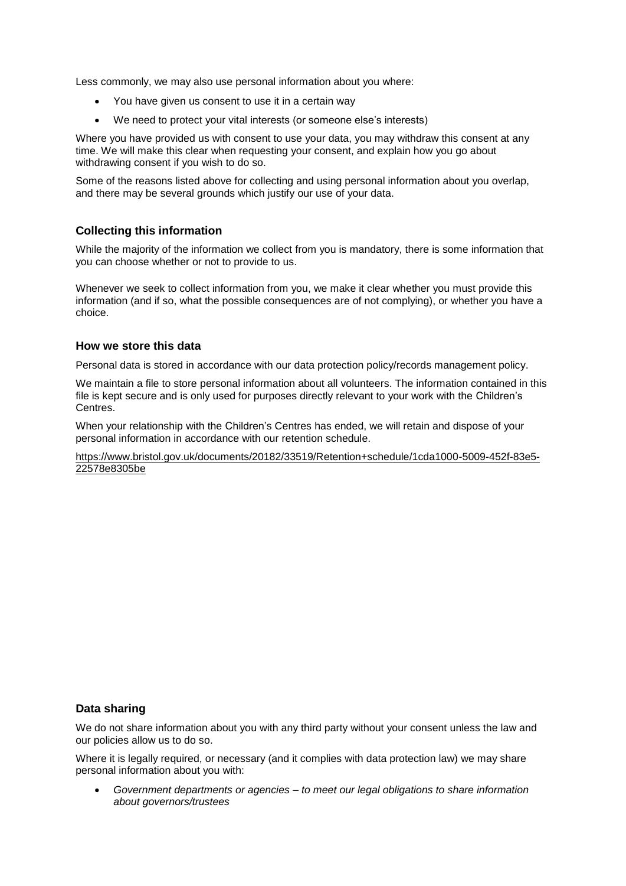Less commonly, we may also use personal information about you where:

- You have given us consent to use it in a certain way
- We need to protect your vital interests (or someone else's interests)

Where you have provided us with consent to use your data, you may withdraw this consent at any time. We will make this clear when requesting your consent, and explain how you go about withdrawing consent if you wish to do so.

Some of the reasons listed above for collecting and using personal information about you overlap, and there may be several grounds which justify our use of your data.

# **Collecting this information**

While the majority of the information we collect from you is mandatory, there is some information that you can choose whether or not to provide to us.

Whenever we seek to collect information from you, we make it clear whether you must provide this information (and if so, what the possible consequences are of not complying), or whether you have a choice.

## **How we store this data**

Personal data is stored in accordance with our data protection policy/records management policy.

We maintain a file to store personal information about all volunteers. The information contained in this file is kept secure and is only used for purposes directly relevant to your work with the Children's Centres.

When your relationship with the Children's Centres has ended, we will retain and dispose of your personal information in accordance with our retention schedule.

[https://www.bristol.gov.uk/documents/20182/33519/Retention+schedule/1cda1000-5009-452f-83e5-](https://www.bristol.gov.uk/documents/20182/33519/Retention+schedule/1cda1000-5009-452f-83e5-22578e8305be) [22578e8305be](https://www.bristol.gov.uk/documents/20182/33519/Retention+schedule/1cda1000-5009-452f-83e5-22578e8305be)

## **Data sharing**

We do not share information about you with any third party without your consent unless the law and our policies allow us to do so.

Where it is legally required, or necessary (and it complies with data protection law) we may share personal information about you with:

 *Government departments or agencies – to meet our legal obligations to share information about governors/trustees*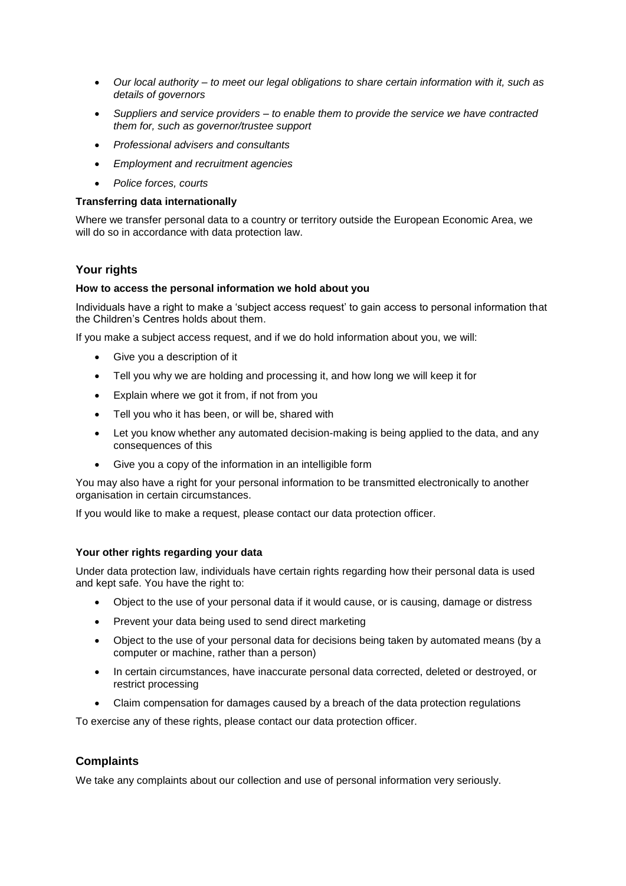- *Our local authority – to meet our legal obligations to share certain information with it, such as details of governors*
- *Suppliers and service providers – to enable them to provide the service we have contracted them for, such as governor/trustee support*
- *Professional advisers and consultants*
- *Employment and recruitment agencies*
- *Police forces, courts*

#### **Transferring data internationally**

Where we transfer personal data to a country or territory outside the European Economic Area, we will do so in accordance with data protection law.

## **Your rights**

#### **How to access the personal information we hold about you**

Individuals have a right to make a 'subject access request' to gain access to personal information that the Children's Centres holds about them.

If you make a subject access request, and if we do hold information about you, we will:

- Give you a description of it
- Tell you why we are holding and processing it, and how long we will keep it for
- Explain where we got it from, if not from you
- Tell you who it has been, or will be, shared with
- Let you know whether any automated decision-making is being applied to the data, and any consequences of this
- Give you a copy of the information in an intelligible form

You may also have a right for your personal information to be transmitted electronically to another organisation in certain circumstances.

If you would like to make a request, please contact our data protection officer.

#### **Your other rights regarding your data**

Under data protection law, individuals have certain rights regarding how their personal data is used and kept safe. You have the right to:

- Object to the use of your personal data if it would cause, or is causing, damage or distress
- Prevent your data being used to send direct marketing
- Object to the use of your personal data for decisions being taken by automated means (by a computer or machine, rather than a person)
- In certain circumstances, have inaccurate personal data corrected, deleted or destroyed, or restrict processing
- Claim compensation for damages caused by a breach of the data protection regulations

To exercise any of these rights, please contact our data protection officer.

## **Complaints**

We take any complaints about our collection and use of personal information very seriously.